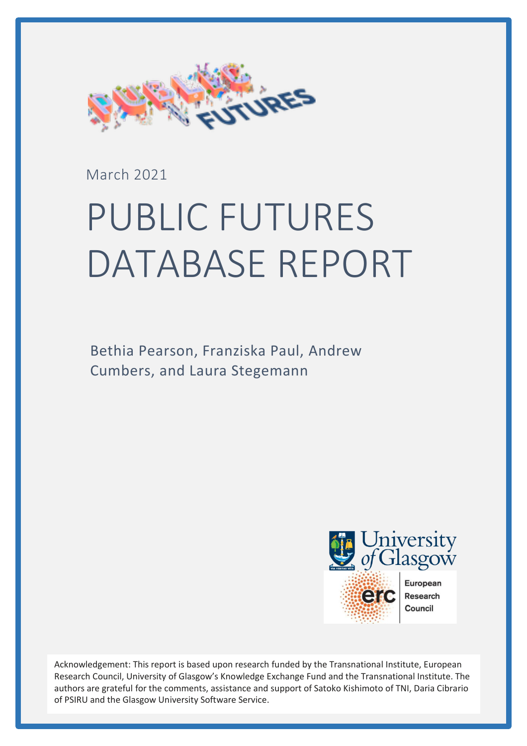

March 2021

# PUBLIC FUTURES DATABASE REPORT

Bethia Pearson, Franziska Paul, Andrew Cumbers, and Laura Stegemann



Acknowledgement: This report is based upon research funded by the Transnational Institute, European Research Council, University of Glasgow's Knowledge Exchange Fund and the Transnational Institute. The authors are grateful for the comments, assistance and support of Satoko Kishimoto of TNI, Daria Cibrario of PSIRU and the Glasgow University Software Service.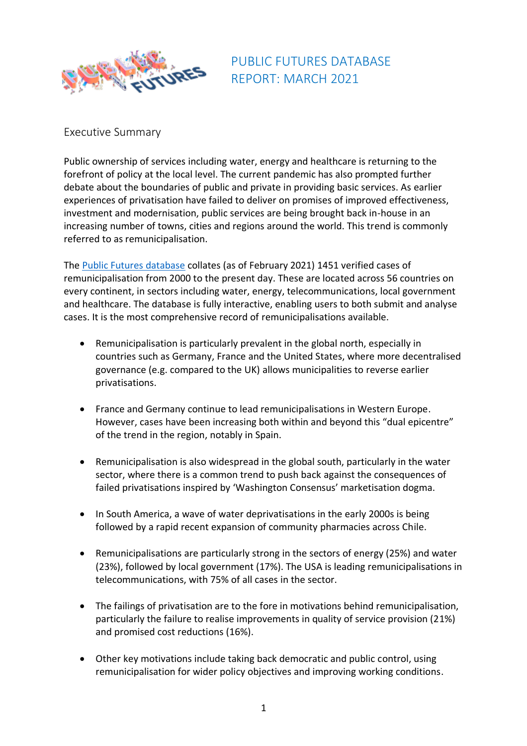

PUBLIC FUTURES DATABASE REPORT: MARCH 2021

## Executive Summary

Public ownership of services including water, energy and healthcare is returning to the forefront of policy at the local level. The current pandemic has also prompted further debate about the boundaries of public and private in providing basic services. As earlier experiences of privatisation have failed to deliver on promises of improved effectiveness, investment and modernisation, public services are being brought back in-house in an increasing number of towns, cities and regions around the world. This trend is commonly referred to as remunicipalisation.

The [Public Futures database](https://publicfutures.org/#/index) collates (as of February 2021) 1451 verified cases of remunicipalisation from 2000 to the present day. These are located across 56 countries on every continent, in sectors including water, energy, telecommunications, local government and healthcare. The database is fully interactive, enabling users to both submit and analyse cases. It is the most comprehensive record of remunicipalisations available.

- Remunicipalisation is particularly prevalent in the global north, especially in countries such as Germany, France and the United States, where more decentralised governance (e.g. compared to the UK) allows municipalities to reverse earlier privatisations.
- France and Germany continue to lead remunicipalisations in Western Europe. However, cases have been increasing both within and beyond this "dual epicentre" of the trend in the region, notably in Spain.
- Remunicipalisation is also widespread in the global south, particularly in the water sector, where there is a common trend to push back against the consequences of failed privatisations inspired by 'Washington Consensus' marketisation dogma.
- In South America, a wave of water deprivatisations in the early 2000s is being followed by a rapid recent expansion of community pharmacies across Chile.
- Remunicipalisations are particularly strong in the sectors of energy (25%) and water (23%), followed by local government (17%). The USA is leading remunicipalisations in telecommunications, with 75% of all cases in the sector.
- The failings of privatisation are to the fore in motivations behind remunicipalisation, particularly the failure to realise improvements in quality of service provision (21%) and promised cost reductions (16%).
- Other key motivations include taking back democratic and public control, using remunicipalisation for wider policy objectives and improving working conditions.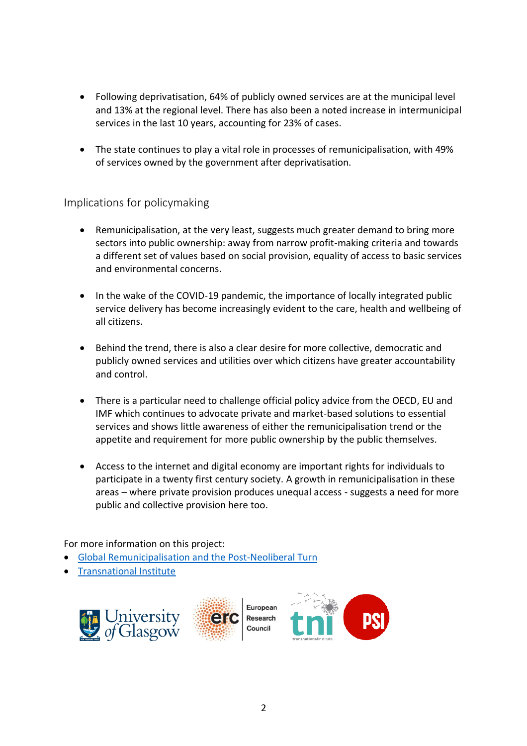- Following deprivatisation, 64% of publicly owned services are at the municipal level and 13% at the regional level. There has also been a noted increase in intermunicipal services in the last 10 years, accounting for 23% of cases.
- The state continues to play a vital role in processes of remunicipalisation, with 49% of services owned by the government after deprivatisation.

## Implications for policymaking

- Remunicipalisation, at the very least, suggests much greater demand to bring more sectors into public ownership: away from narrow profit-making criteria and towards a different set of values based on social provision, equality of access to basic services and environmental concerns.
- In the wake of the COVID-19 pandemic, the importance of locally integrated public service delivery has become increasingly evident to the care, health and wellbeing of all citizens.
- Behind the trend, there is also a clear desire for more collective, democratic and publicly owned services and utilities over which citizens have greater accountability and control.
- There is a particular need to challenge official policy advice from the OECD, EU and IMF which continues to advocate private and market-based solutions to essential services and shows little awareness of either the remunicipalisation trend or the appetite and requirement for more public ownership by the public themselves.
- Access to the internet and digital economy are important rights for individuals to participate in a twenty first century society. A growth in remunicipalisation in these areas – where private provision produces unequal access - suggests a need for more public and collective provision here too.

For more information on this project:

- [Global Remunicipalisation and the Post-Neoliberal Turn](https://www.gla.ac.uk/schools/business/research/centres/entrepreneurship/globalremunicipalisation/)
- [Transnational Institute](https://www.tni.org/en/public-alternatives)





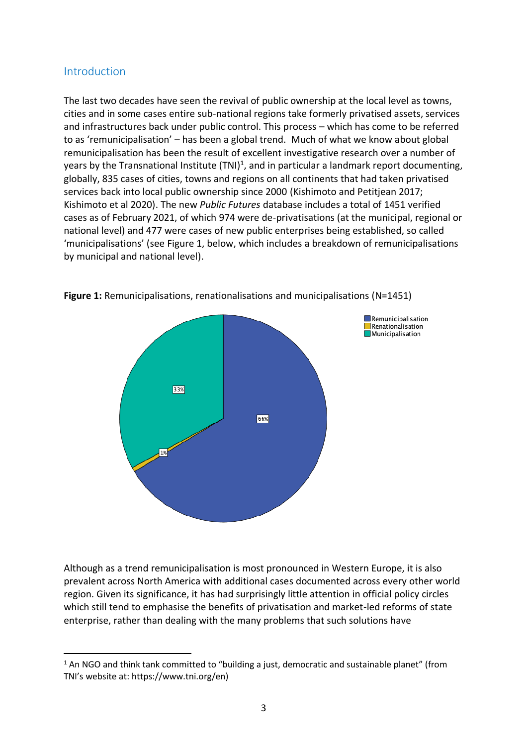## Introduction

The last two decades have seen the revival of public ownership at the local level as towns, cities and in some cases entire sub-national regions take formerly privatised assets, services and infrastructures back under public control. This process – which has come to be referred to as 'remunicipalisation' – has been a global trend. Much of what we know about global remunicipalisation has been the result of excellent investigative research over a number of years by the Transnational Institute (TNI)<sup>1</sup>, and in particular a landmark report documenting, globally, 835 cases of cities, towns and regions on all continents that had taken privatised services back into local public ownership since 2000 (Kishimoto and Petitjean 2017; Kishimoto et al 2020). The new *Public Futures* database includes a total of 1451 verified cases as of February 2021, of which 974 were de-privatisations (at the municipal, regional or national level) and 477 were cases of new public enterprises being established, so called 'municipalisations' (see Figure 1, below, which includes a breakdown of remunicipalisations by municipal and national level).



**Figure 1:** Remunicipalisations, renationalisations and municipalisations (N=1451)

Although as a trend remunicipalisation is most pronounced in Western Europe, it is also prevalent across North America with additional cases documented across every other world region. Given its significance, it has had surprisingly little attention in official policy circles which still tend to emphasise the benefits of privatisation and market-led reforms of state enterprise, rather than dealing with the many problems that such solutions have

<sup>&</sup>lt;sup>1</sup> An NGO and think tank committed to "building a just, democratic and sustainable planet" (from TNI's website at: https://www.tni.org/en)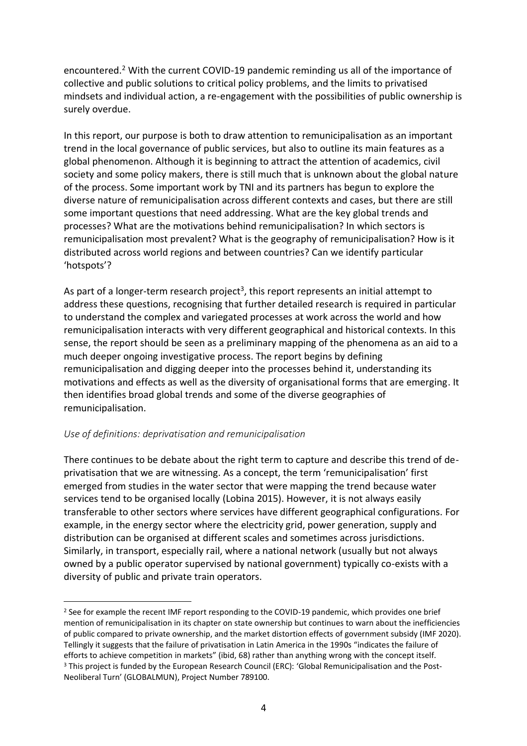encountered.<sup>2</sup> With the current COVID-19 pandemic reminding us all of the importance of collective and public solutions to critical policy problems, and the limits to privatised mindsets and individual action, a re-engagement with the possibilities of public ownership is surely overdue.

In this report, our purpose is both to draw attention to remunicipalisation as an important trend in the local governance of public services, but also to outline its main features as a global phenomenon. Although it is beginning to attract the attention of academics, civil society and some policy makers, there is still much that is unknown about the global nature of the process. Some important work by TNI and its partners has begun to explore the diverse nature of remunicipalisation across different contexts and cases, but there are still some important questions that need addressing. What are the key global trends and processes? What are the motivations behind remunicipalisation? In which sectors is remunicipalisation most prevalent? What is the geography of remunicipalisation? How is it distributed across world regions and between countries? Can we identify particular 'hotspots'?

As part of a longer-term research project<sup>3</sup>, this report represents an initial attempt to address these questions, recognising that further detailed research is required in particular to understand the complex and variegated processes at work across the world and how remunicipalisation interacts with very different geographical and historical contexts. In this sense, the report should be seen as a preliminary mapping of the phenomena as an aid to a much deeper ongoing investigative process. The report begins by defining remunicipalisation and digging deeper into the processes behind it, understanding its motivations and effects as well as the diversity of organisational forms that are emerging. It then identifies broad global trends and some of the diverse geographies of remunicipalisation.

## *Use of definitions: deprivatisation and remunicipalisation*

There continues to be debate about the right term to capture and describe this trend of deprivatisation that we are witnessing. As a concept, the term 'remunicipalisation' first emerged from studies in the water sector that were mapping the trend because water services tend to be organised locally (Lobina 2015). However, it is not always easily transferable to other sectors where services have different geographical configurations. For example, in the energy sector where the electricity grid, power generation, supply and distribution can be organised at different scales and sometimes across jurisdictions. Similarly, in transport, especially rail, where a national network (usually but not always owned by a public operator supervised by national government) typically co-exists with a diversity of public and private train operators.

<sup>&</sup>lt;sup>2</sup> See for example the recent IMF report responding to the COVID-19 pandemic, which provides one brief mention of remunicipalisation in its chapter on state ownership but continues to warn about the inefficiencies of public compared to private ownership, and the market distortion effects of government subsidy (IMF 2020). Tellingly it suggests that the failure of privatisation in Latin America in the 1990s "indicates the failure of efforts to achieve competition in markets" (ibid, 68) rather than anything wrong with the concept itself. <sup>3</sup> This project is funded by the European Research Council (ERC): 'Global Remunicipalisation and the Post-Neoliberal Turn' (GLOBALMUN), Project Number 789100.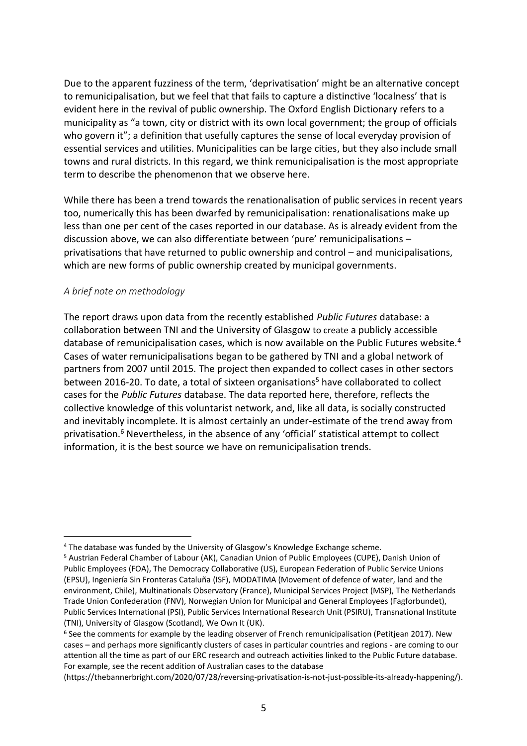Due to the apparent fuzziness of the term, 'deprivatisation' might be an alternative concept to remunicipalisation, but we feel that that fails to capture a distinctive 'localness' that is evident here in the revival of public ownership. The Oxford English Dictionary refers to a municipality as "a town, city or district with its own local government; the group of officials who govern it"; a definition that usefully captures the sense of local everyday provision of essential services and utilities. Municipalities can be large cities, but they also include small towns and rural districts. In this regard, we think remunicipalisation is the most appropriate term to describe the phenomenon that we observe here.

While there has been a trend towards the renationalisation of public services in recent years too, numerically this has been dwarfed by remunicipalisation: renationalisations make up less than one per cent of the cases reported in our database. As is already evident from the discussion above, we can also differentiate between 'pure' remunicipalisations – privatisations that have returned to public ownership and control – and municipalisations, which are new forms of public ownership created by municipal governments.

## *A brief note on methodology*

The report draws upon data from the recently established *Public Futures* database: a collaboration between TNI and the University of Glasgow to create a publicly accessible database of remunicipalisation cases, which is now available on the Public Futures website.<sup>4</sup> Cases of water remunicipalisations began to be gathered by TNI and a global network of partners from 2007 until 2015. The project then expanded to collect cases in other sectors between 2016-20. To date, a total of sixteen organisations<sup>5</sup> have collaborated to collect cases for the *Public Futures* database. The data reported here, therefore, reflects the collective knowledge of this voluntarist network, and, like all data, is socially constructed and inevitably incomplete. It is almost certainly an under-estimate of the trend away from privatisation.<sup>6</sup> Nevertheless, in the absence of any 'official' statistical attempt to collect information, it is the best source we have on remunicipalisation trends.

<sup>4</sup> The database was funded by the University of Glasgow's Knowledge Exchange scheme.

<sup>5</sup> Austrian Federal Chamber of Labour (AK), Canadian Union of Public Employees (CUPE), Danish Union of Public Employees (FOA), The Democracy Collaborative (US), European Federation of Public Service Unions (EPSU), Ingeniería Sin Fronteras Cataluña (ISF), MODATIMA (Movement of defence of water, land and the environment, Chile), Multinationals Observatory (France), Municipal Services Project (MSP), The Netherlands Trade Union Confederation (FNV), Norwegian Union for Municipal and General Employees (Fagforbundet), Public Services International (PSI), Public Services International Research Unit (PSIRU), Transnational Institute (TNI), University of Glasgow (Scotland), We Own It (UK).

<sup>&</sup>lt;sup>6</sup> See the comments for example by the leading observer of French remunicipalisation (Petitjean 2017). New cases – and perhaps more significantly clusters of cases in particular countries and regions - are coming to our attention all the time as part of our ERC research and outreach activities linked to the Public Future database. For example, see the recent addition of Australian cases to the database

<sup>(</sup>https://thebannerbright.com/2020/07/28/reversing-privatisation-is-not-just-possible-its-already-happening/).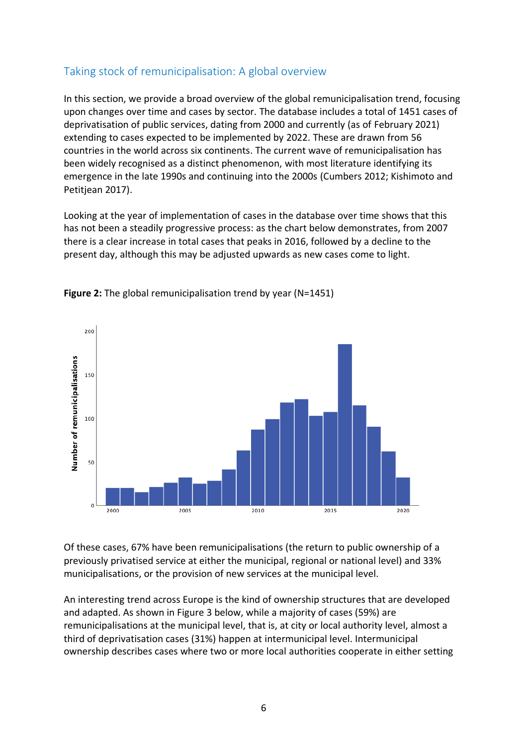# Taking stock of remunicipalisation: A global overview

In this section, we provide a broad overview of the global remunicipalisation trend, focusing upon changes over time and cases by sector. The database includes a total of 1451 cases of deprivatisation of public services, dating from 2000 and currently (as of February 2021) extending to cases expected to be implemented by 2022. These are drawn from 56 countries in the world across six continents. The current wave of remunicipalisation has been widely recognised as a distinct phenomenon, with most literature identifying its emergence in the late 1990s and continuing into the 2000s (Cumbers 2012; Kishimoto and Petitjean 2017).

Looking at the year of implementation of cases in the database over time shows that this has not been a steadily progressive process: as the chart below demonstrates, from 2007 there is a clear increase in total cases that peaks in 2016, followed by a decline to the present day, although this may be adjusted upwards as new cases come to light.



**Figure 2:** The global remunicipalisation trend by year (N=1451)

Of these cases, 67% have been remunicipalisations (the return to public ownership of a previously privatised service at either the municipal, regional or national level) and 33% municipalisations, or the provision of new services at the municipal level.

An interesting trend across Europe is the kind of ownership structures that are developed and adapted. As shown in Figure 3 below, while a majority of cases (59%) are remunicipalisations at the municipal level, that is, at city or local authority level, almost a third of deprivatisation cases (31%) happen at intermunicipal level. Intermunicipal ownership describes cases where two or more local authorities cooperate in either setting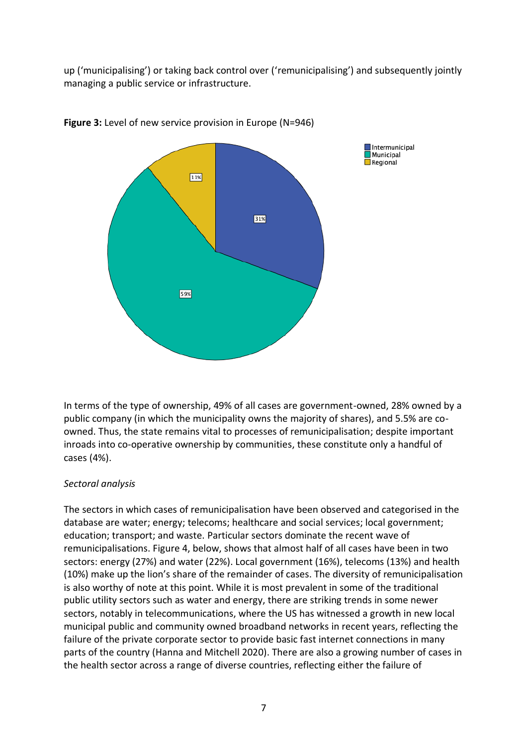up ('municipalising') or taking back control over ('remunicipalising') and subsequently jointly managing a public service or infrastructure.



**Figure 3:** Level of new service provision in Europe (N=946)

In terms of the type of ownership, 49% of all cases are government-owned, 28% owned by a public company (in which the municipality owns the majority of shares), and 5.5% are coowned. Thus, the state remains vital to processes of remunicipalisation; despite important inroads into co-operative ownership by communities, these constitute only a handful of cases (4%).

#### *Sectoral analysis*

The sectors in which cases of remunicipalisation have been observed and categorised in the database are water; energy; telecoms; healthcare and social services; local government; education; transport; and waste. Particular sectors dominate the recent wave of remunicipalisations. Figure 4, below, shows that almost half of all cases have been in two sectors: energy (27%) and water (22%). Local government (16%), telecoms (13%) and health (10%) make up the lion's share of the remainder of cases. The diversity of remunicipalisation is also worthy of note at this point. While it is most prevalent in some of the traditional public utility sectors such as water and energy, there are striking trends in some newer sectors, notably in telecommunications, where the US has witnessed a growth in new local municipal public and community owned broadband networks in recent years, reflecting the failure of the private corporate sector to provide basic fast internet connections in many parts of the country (Hanna and Mitchell 2020). There are also a growing number of cases in the health sector across a range of diverse countries, reflecting either the failure of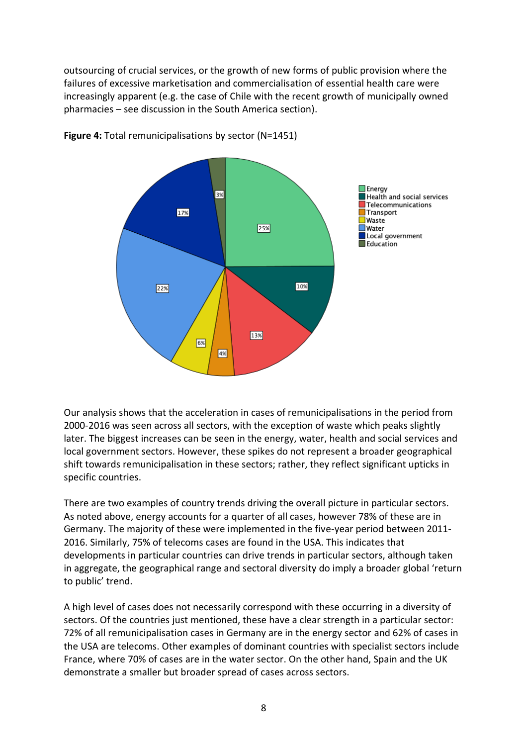outsourcing of crucial services, or the growth of new forms of public provision where the failures of excessive marketisation and commercialisation of essential health care were increasingly apparent (e.g. the case of Chile with the recent growth of municipally owned pharmacies – see discussion in the South America section).



**Figure 4:** Total remunicipalisations by sector (N=1451)

Our analysis shows that the acceleration in cases of remunicipalisations in the period from 2000-2016 was seen across all sectors, with the exception of waste which peaks slightly later. The biggest increases can be seen in the energy, water, health and social services and local government sectors. However, these spikes do not represent a broader geographical shift towards remunicipalisation in these sectors; rather, they reflect significant upticks in specific countries.

There are two examples of country trends driving the overall picture in particular sectors. As noted above, energy accounts for a quarter of all cases, however 78% of these are in Germany. The majority of these were implemented in the five-year period between 2011- 2016. Similarly, 75% of telecoms cases are found in the USA. This indicates that developments in particular countries can drive trends in particular sectors, although taken in aggregate, the geographical range and sectoral diversity do imply a broader global 'return to public' trend.

A high level of cases does not necessarily correspond with these occurring in a diversity of sectors. Of the countries just mentioned, these have a clear strength in a particular sector: 72% of all remunicipalisation cases in Germany are in the energy sector and 62% of cases in the USA are telecoms. Other examples of dominant countries with specialist sectors include France, where 70% of cases are in the water sector. On the other hand, Spain and the UK demonstrate a smaller but broader spread of cases across sectors.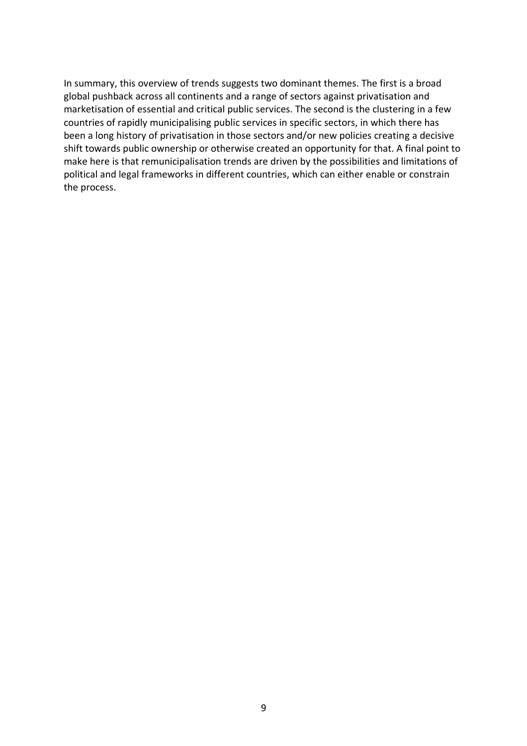In summary, this overview of trends suggests two dominant themes. The first is a broad global pushback across all continents and a range of sectors against privatisation and marketisation of essential and critical public services. The second is the clustering in a few countries of rapidly municipalising public services in specific sectors, in which there has been a long history of privatisation in those sectors and/or new policies creating a decisive shift towards public ownership or otherwise created an opportunity for that. A final point to make here is that remunicipalisation trends are driven by the possibilities and limitations of political and legal frameworks in different countries, which can either enable or constrain the process.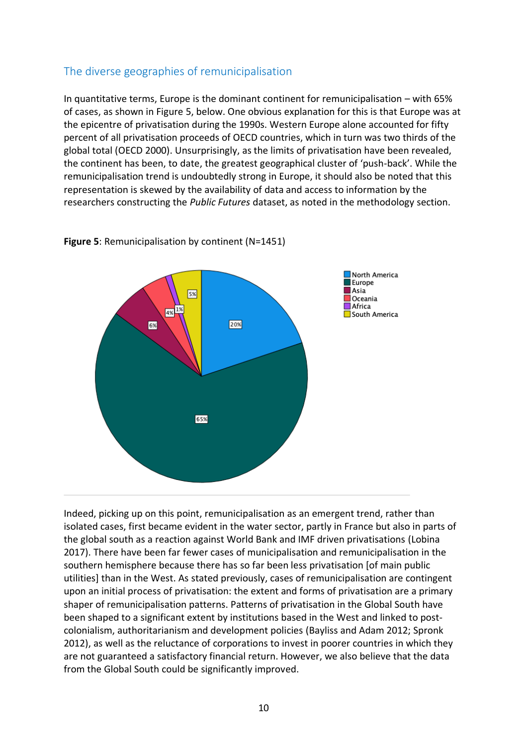# The diverse geographies of remunicipalisation

In quantitative terms, Europe is the dominant continent for remunicipalisation – with 65% of cases, as shown in Figure 5, below. One obvious explanation for this is that Europe was at the epicentre of privatisation during the 1990s. Western Europe alone accounted for fifty percent of all privatisation proceeds of OECD countries, which in turn was two thirds of the global total (OECD 2000). Unsurprisingly, as the limits of privatisation have been revealed, the continent has been, to date, the greatest geographical cluster of 'push-back'. While the remunicipalisation trend is undoubtedly strong in Europe, it should also be noted that this representation is skewed by the availability of data and access to information by the researchers constructing the *Public Futures* dataset, as noted in the methodology section.



**Figure 5**: Remunicipalisation by continent (N=1451)

Indeed, picking up on this point, remunicipalisation as an emergent trend, rather than isolated cases, first became evident in the water sector, partly in France but also in parts of the global south as a reaction against World Bank and IMF driven privatisations (Lobina 2017). There have been far fewer cases of municipalisation and remunicipalisation in the southern hemisphere because there has so far been less privatisation [of main public utilities] than in the West. As stated previously, cases of remunicipalisation are contingent upon an initial process of privatisation: the extent and forms of privatisation are a primary shaper of remunicipalisation patterns. Patterns of privatisation in the Global South have been shaped to a significant extent by institutions based in the West and linked to postcolonialism, authoritarianism and development policies (Bayliss and Adam 2012; Spronk 2012), as well as the reluctance of corporations to invest in poorer countries in which they are not guaranteed a satisfactory financial return. However, we also believe that the data from the Global South could be significantly improved.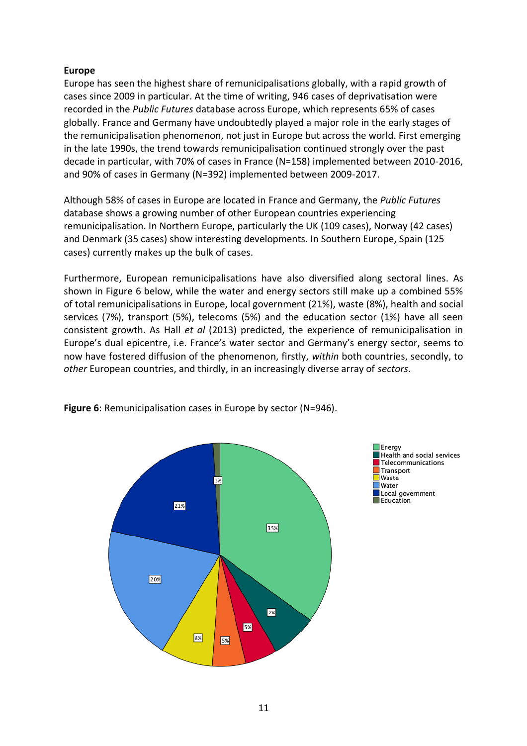## **Europe**

Europe has seen the highest share of remunicipalisations globally, with a rapid growth of cases since 2009 in particular. At the time of writing, 946 cases of deprivatisation were recorded in the *Public Futures* database across Europe, which represents 65% of cases globally. France and Germany have undoubtedly played a major role in the early stages of the remunicipalisation phenomenon, not just in Europe but across the world. First emerging in the late 1990s, the trend towards remunicipalisation continued strongly over the past decade in particular, with 70% of cases in France (N=158) implemented between 2010-2016, and 90% of cases in Germany (N=392) implemented between 2009-2017.

Although 58% of cases in Europe are located in France and Germany, the *Public Futures*  database shows a growing number of other European countries experiencing remunicipalisation. In Northern Europe, particularly the UK (109 cases), Norway (42 cases) and Denmark (35 cases) show interesting developments. In Southern Europe, Spain (125 cases) currently makes up the bulk of cases.

Furthermore, European remunicipalisations have also diversified along sectoral lines. As shown in Figure 6 below, while the water and energy sectors still make up a combined 55% of total remunicipalisations in Europe, local government (21%), waste (8%), health and social services (7%), transport (5%), telecoms (5%) and the education sector (1%) have all seen consistent growth. As Hall *et al* (2013) predicted, the experience of remunicipalisation in Europe's dual epicentre, i.e. France's water sector and Germany's energy sector, seems to now have fostered diffusion of the phenomenon, firstly, *within* both countries, secondly, to *other* European countries, and thirdly, in an increasingly diverse array of *sectors*.



**Figure 6**: Remunicipalisation cases in Europe by sector (N=946).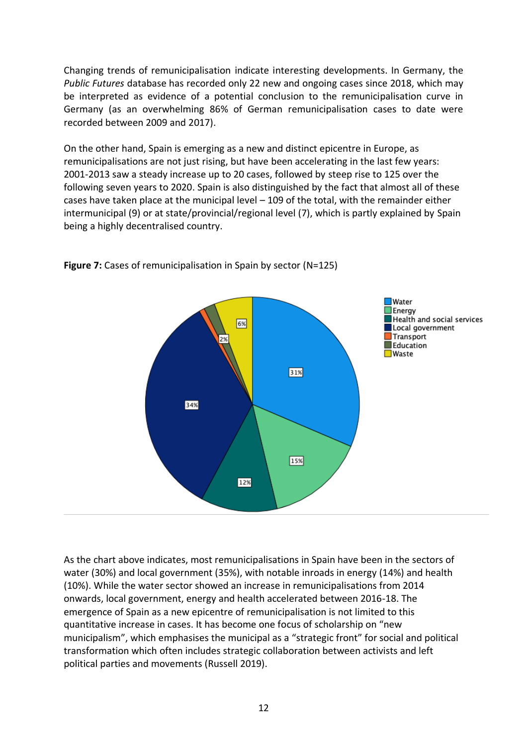Changing trends of remunicipalisation indicate interesting developments. In Germany, the *Public Futures* database has recorded only 22 new and ongoing cases since 2018, which may be interpreted as evidence of a potential conclusion to the remunicipalisation curve in Germany (as an overwhelming 86% of German remunicipalisation cases to date were recorded between 2009 and 2017).

On the other hand, Spain is emerging as a new and distinct epicentre in Europe, as remunicipalisations are not just rising, but have been accelerating in the last few years: 2001-2013 saw a steady increase up to 20 cases, followed by steep rise to 125 over the following seven years to 2020. Spain is also distinguished by the fact that almost all of these cases have taken place at the municipal level – 109 of the total, with the remainder either intermunicipal (9) or at state/provincial/regional level (7), which is partly explained by Spain being a highly decentralised country.



**Figure 7:** Cases of remunicipalisation in Spain by sector (N=125)

As the chart above indicates, most remunicipalisations in Spain have been in the sectors of water (30%) and local government (35%), with notable inroads in energy (14%) and health (10%). While the water sector showed an increase in remunicipalisations from 2014 onwards, local government, energy and health accelerated between 2016-18. The emergence of Spain as a new epicentre of remunicipalisation is not limited to this quantitative increase in cases. It has become one focus of scholarship on "new municipalism", which emphasises the municipal as a "strategic front" for social and political transformation which often includes strategic collaboration between activists and left political parties and movements (Russell 2019).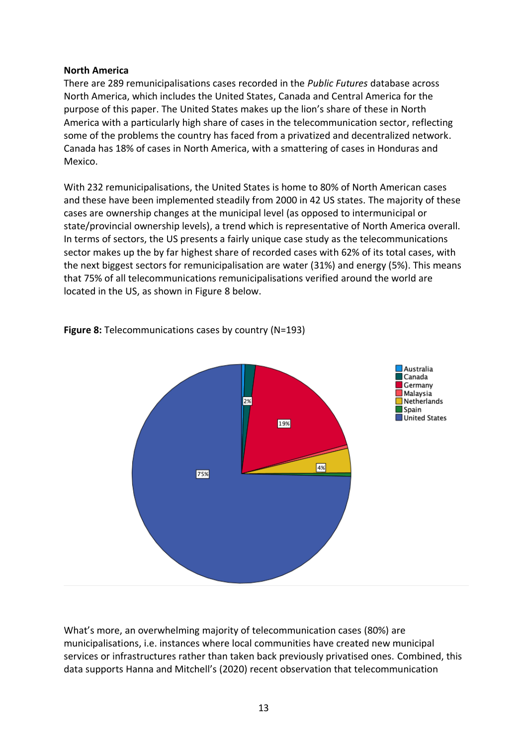#### **North America**

There are 289 remunicipalisations cases recorded in the *Public Futures* database across North America, which includes the United States, Canada and Central America for the purpose of this paper. The United States makes up the lion's share of these in North America with a particularly high share of cases in the telecommunication sector, reflecting some of the problems the country has faced from a privatized and decentralized network. Canada has 18% of cases in North America, with a smattering of cases in Honduras and Mexico.

With 232 remunicipalisations, the United States is home to 80% of North American cases and these have been implemented steadily from 2000 in 42 US states. The majority of these cases are ownership changes at the municipal level (as opposed to intermunicipal or state/provincial ownership levels), a trend which is representative of North America overall. In terms of sectors, the US presents a fairly unique case study as the telecommunications sector makes up the by far highest share of recorded cases with 62% of its total cases, with the next biggest sectors for remunicipalisation are water (31%) and energy (5%). This means that 75% of all telecommunications remunicipalisations verified around the world are located in the US, as shown in Figure 8 below.



**Figure 8:** Telecommunications cases by country (N=193)

What's more, an overwhelming majority of telecommunication cases (80%) are municipalisations, i.e. instances where local communities have created new municipal services or infrastructures rather than taken back previously privatised ones. Combined, this data supports Hanna and Mitchell's (2020) recent observation that telecommunication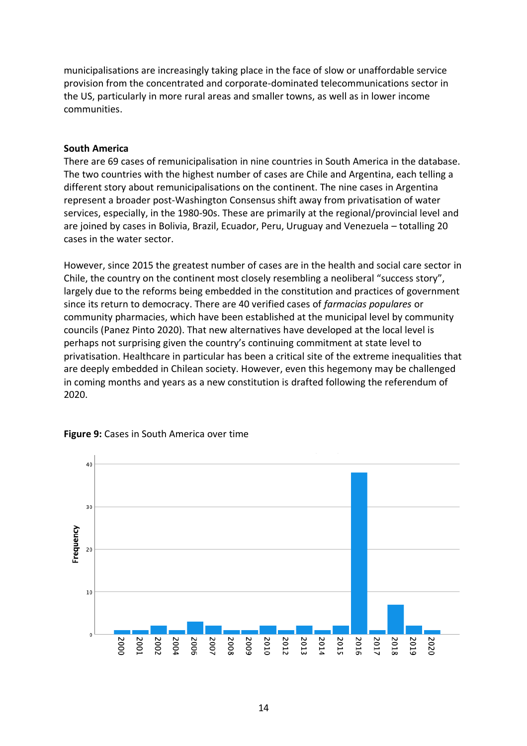municipalisations are increasingly taking place in the face of slow or unaffordable service provision from the concentrated and corporate-dominated telecommunications sector in the US, particularly in more rural areas and smaller towns, as well as in lower income communities.

#### **South America**

There are 69 cases of remunicipalisation in nine countries in South America in the database. The two countries with the highest number of cases are Chile and Argentina, each telling a different story about remunicipalisations on the continent. The nine cases in Argentina represent a broader post-Washington Consensus shift away from privatisation of water services, especially, in the 1980-90s. These are primarily at the regional/provincial level and are joined by cases in Bolivia, Brazil, Ecuador, Peru, Uruguay and Venezuela – totalling 20 cases in the water sector.

However, since 2015 the greatest number of cases are in the health and social care sector in Chile, the country on the continent most closely resembling a neoliberal "success story", largely due to the reforms being embedded in the constitution and practices of government since its return to democracy. There are 40 verified cases of *farmacias populares* or community pharmacies, which have been established at the municipal level by community councils (Panez Pinto 2020). That new alternatives have developed at the local level is perhaps not surprising given the country's continuing commitment at state level to privatisation. Healthcare in particular has been a critical site of the extreme inequalities that are deeply embedded in Chilean society. However, even this hegemony may be challenged in coming months and years as a new constitution is drafted following the referendum of 2020.



#### **Figure 9:** Cases in South America over time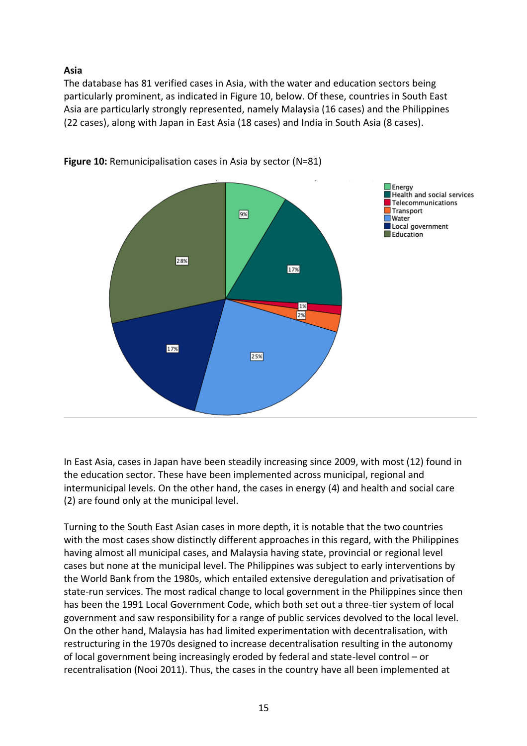**Asia**

The database has 81 verified cases in Asia, with the water and education sectors being particularly prominent, as indicated in Figure 10, below. Of these, countries in South East Asia are particularly strongly represented, namely Malaysia (16 cases) and the Philippines (22 cases), along with Japan in East Asia (18 cases) and India in South Asia (8 cases).



**Figure 10:** Remunicipalisation cases in Asia by sector (N=81)

In East Asia, cases in Japan have been steadily increasing since 2009, with most (12) found in the education sector. These have been implemented across municipal, regional and intermunicipal levels. On the other hand, the cases in energy (4) and health and social care (2) are found only at the municipal level.

Turning to the South East Asian cases in more depth, it is notable that the two countries with the most cases show distinctly different approaches in this regard, with the Philippines having almost all municipal cases, and Malaysia having state, provincial or regional level cases but none at the municipal level. The Philippines was subject to early interventions by the World Bank from the 1980s, which entailed extensive deregulation and privatisation of state-run services. The most radical change to local government in the Philippines since then has been the 1991 Local Government Code, which both set out a three-tier system of local government and saw responsibility for a range of public services devolved to the local level. On the other hand, Malaysia has had limited experimentation with decentralisation, with restructuring in the 1970s designed to increase decentralisation resulting in the autonomy of local government being increasingly eroded by federal and state-level control – or recentralisation (Nooi 2011). Thus, the cases in the country have all been implemented at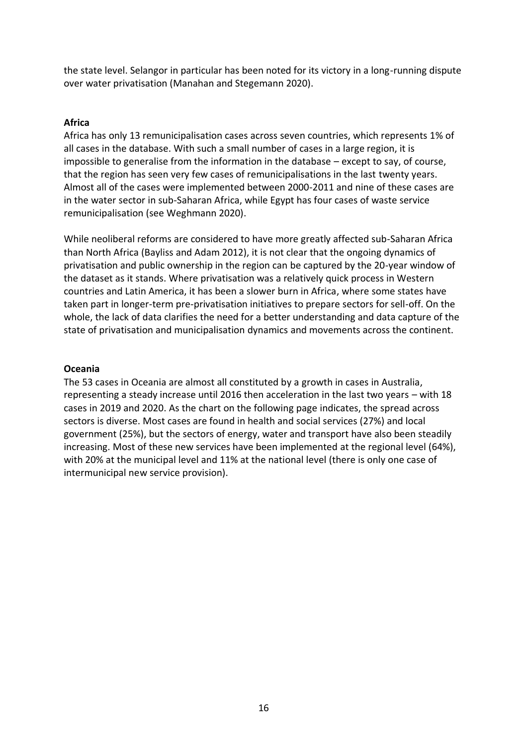the state level. Selangor in particular has been noted for its victory in a long-running dispute over water privatisation (Manahan and Stegemann 2020).

## **Africa**

Africa has only 13 remunicipalisation cases across seven countries, which represents 1% of all cases in the database. With such a small number of cases in a large region, it is impossible to generalise from the information in the database – except to say, of course, that the region has seen very few cases of remunicipalisations in the last twenty years. Almost all of the cases were implemented between 2000-2011 and nine of these cases are in the water sector in sub-Saharan Africa, while Egypt has four cases of waste service remunicipalisation (see Weghmann 2020).

While neoliberal reforms are considered to have more greatly affected sub-Saharan Africa than North Africa (Bayliss and Adam 2012), it is not clear that the ongoing dynamics of privatisation and public ownership in the region can be captured by the 20-year window of the dataset as it stands. Where privatisation was a relatively quick process in Western countries and Latin America, it has been a slower burn in Africa, where some states have taken part in longer-term pre-privatisation initiatives to prepare sectors for sell-off. On the whole, the lack of data clarifies the need for a better understanding and data capture of the state of privatisation and municipalisation dynamics and movements across the continent.

#### **Oceania**

The 53 cases in Oceania are almost all constituted by a growth in cases in Australia, representing a steady increase until 2016 then acceleration in the last two years – with 18 cases in 2019 and 2020. As the chart on the following page indicates, the spread across sectors is diverse. Most cases are found in health and social services (27%) and local government (25%), but the sectors of energy, water and transport have also been steadily increasing. Most of these new services have been implemented at the regional level (64%), with 20% at the municipal level and 11% at the national level (there is only one case of intermunicipal new service provision).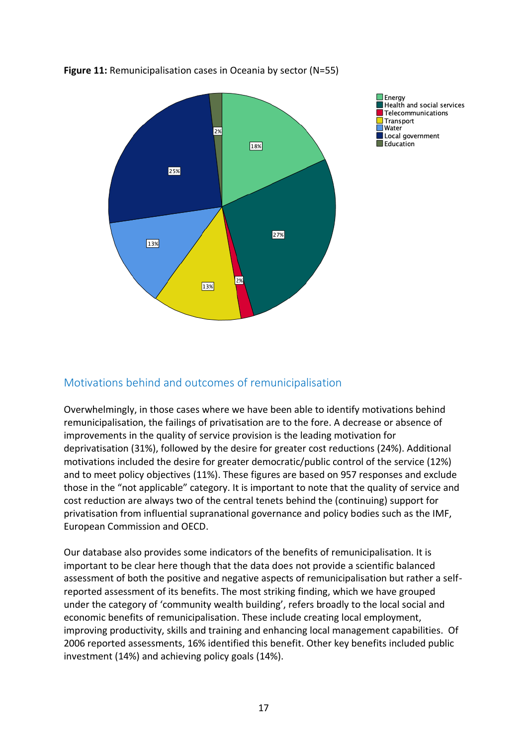

**Figure 11:** Remunicipalisation cases in Oceania by sector (N=55)

# Motivations behind and outcomes of remunicipalisation

Overwhelmingly, in those cases where we have been able to identify motivations behind remunicipalisation, the failings of privatisation are to the fore. A decrease or absence of improvements in the quality of service provision is the leading motivation for deprivatisation (31%), followed by the desire for greater cost reductions (24%). Additional motivations included the desire for greater democratic/public control of the service (12%) and to meet policy objectives (11%). These figures are based on 957 responses and exclude those in the "not applicable" category. It is important to note that the quality of service and cost reduction are always two of the central tenets behind the (continuing) support for privatisation from influential supranational governance and policy bodies such as the IMF, European Commission and OECD.

Our database also provides some indicators of the benefits of remunicipalisation. It is important to be clear here though that the data does not provide a scientific balanced assessment of both the positive and negative aspects of remunicipalisation but rather a selfreported assessment of its benefits. The most striking finding, which we have grouped under the category of 'community wealth building', refers broadly to the local social and economic benefits of remunicipalisation. These include creating local employment, improving productivity, skills and training and enhancing local management capabilities. Of 2006 reported assessments, 16% identified this benefit. Other key benefits included public investment (14%) and achieving policy goals (14%).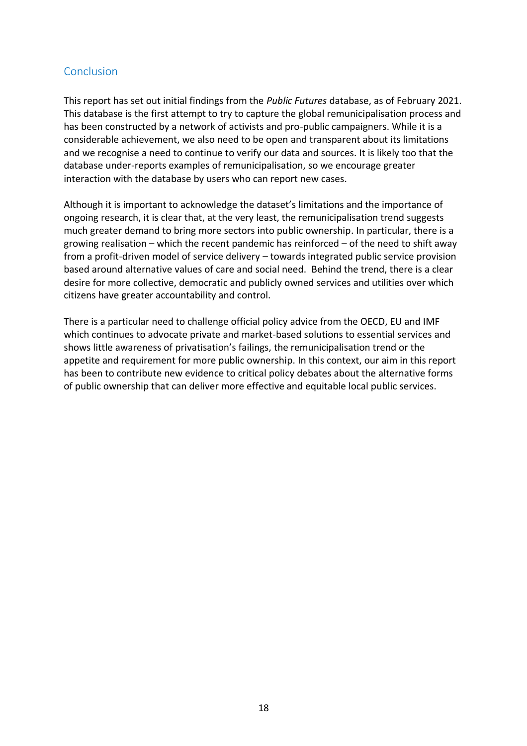# Conclusion

This report has set out initial findings from the *Public Futures* database, as of February 2021. This database is the first attempt to try to capture the global remunicipalisation process and has been constructed by a network of activists and pro-public campaigners. While it is a considerable achievement, we also need to be open and transparent about its limitations and we recognise a need to continue to verify our data and sources. It is likely too that the database under-reports examples of remunicipalisation, so we encourage greater interaction with the database by users who can report new cases.

Although it is important to acknowledge the dataset's limitations and the importance of ongoing research, it is clear that, at the very least, the remunicipalisation trend suggests much greater demand to bring more sectors into public ownership. In particular, there is a growing realisation – which the recent pandemic has reinforced – of the need to shift away from a profit-driven model of service delivery – towards integrated public service provision based around alternative values of care and social need. Behind the trend, there is a clear desire for more collective, democratic and publicly owned services and utilities over which citizens have greater accountability and control.

There is a particular need to challenge official policy advice from the OECD, EU and IMF which continues to advocate private and market-based solutions to essential services and shows little awareness of privatisation's failings, the remunicipalisation trend or the appetite and requirement for more public ownership. In this context, our aim in this report has been to contribute new evidence to critical policy debates about the alternative forms of public ownership that can deliver more effective and equitable local public services.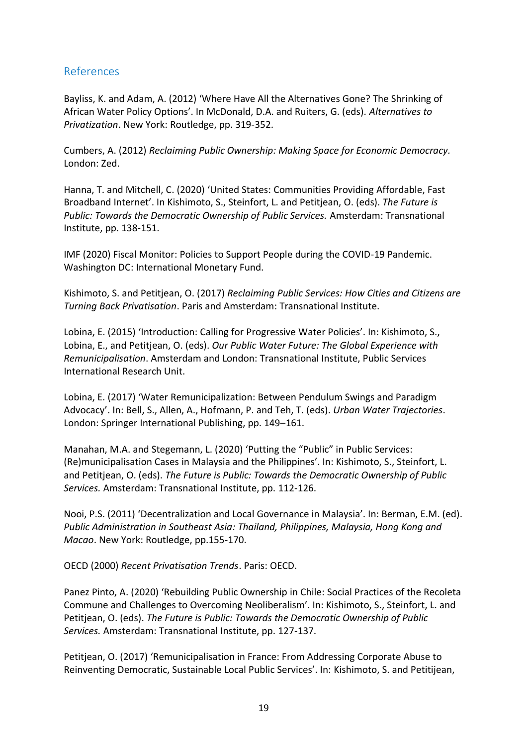# References

Bayliss, K. and Adam, A. (2012) 'Where Have All the Alternatives Gone? The Shrinking of African Water Policy Options'. In McDonald, D.A. and Ruiters, G. (eds). *Alternatives to Privatization*. New York: Routledge, pp. 319-352.

Cumbers, A. (2012) *Reclaiming Public Ownership: Making Space for Economic Democracy.* London: Zed.

Hanna, T. and Mitchell, C. (2020) 'United States: Communities Providing Affordable, Fast Broadband Internet'. In Kishimoto, S., Steinfort, L. and Petitjean, O. (eds). *The Future is Public: Towards the Democratic Ownership of Public Services.* Amsterdam: Transnational Institute, pp. 138-151.

IMF (2020) Fiscal Monitor: Policies to Support People during the COVID-19 Pandemic. Washington DC: International Monetary Fund.

Kishimoto, S. and Petitjean, O. (2017) *Reclaiming Public Services: How Cities and Citizens are Turning Back Privatisation*. Paris and Amsterdam: Transnational Institute.

Lobina, E. (2015) 'Introduction: Calling for Progressive Water Policies'. In: Kishimoto, S., Lobina, E., and Petitjean, O. (eds). *Our Public Water Future: The Global Experience with Remunicipalisation*. Amsterdam and London: Transnational Institute, Public Services International Research Unit.

Lobina, E. (2017) 'Water Remunicipalization: Between Pendulum Swings and Paradigm Advocacy'. In: Bell, S., Allen, A., Hofmann, P. and Teh, T. (eds). *Urban Water Trajectories*. London: Springer International Publishing, pp. 149–161.

Manahan, M.A. and Stegemann, L. (2020) 'Putting the "Public" in Public Services: (Re)municipalisation Cases in Malaysia and the Philippines'. In: Kishimoto, S., Steinfort, L. and Petitjean, O. (eds). *The Future is Public: Towards the Democratic Ownership of Public Services.* Amsterdam: Transnational Institute, pp. 112-126.

Nooi, P.S. (2011) 'Decentralization and Local Governance in Malaysia'. In: Berman, E.M. (ed). *Public Administration in Southeast Asia: Thailand, Philippines, Malaysia, Hong Kong and Macao*. New York: Routledge, pp.155-170.

OECD (2000) *Recent Privatisation Trends*. Paris: OECD.

Panez Pinto, A. (2020) 'Rebuilding Public Ownership in Chile: Social Practices of the Recoleta Commune and Challenges to Overcoming Neoliberalism'. In: Kishimoto, S., Steinfort, L. and Petitjean, O. (eds). *The Future is Public: Towards the Democratic Ownership of Public Services.* Amsterdam: Transnational Institute, pp. 127-137.

Petitjean, O. (2017) 'Remunicipalisation in France: From Addressing Corporate Abuse to Reinventing Democratic, Sustainable Local Public Services'. In: Kishimoto, S. and Petitijean,